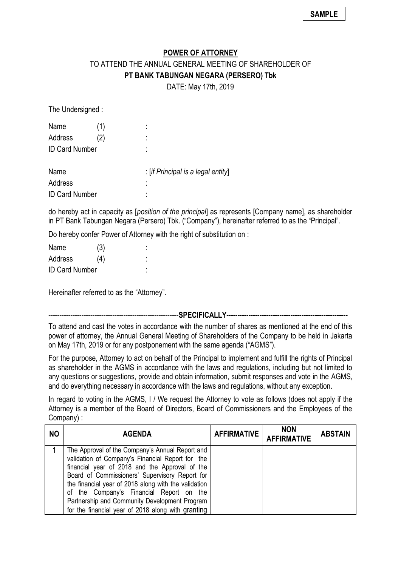| SAMPL |
|-------|
|-------|

## **POWER OF ATTORNEY**

## TO ATTEND THE ANNUAL GENERAL MEETING OF SHAREHOLDER OF **PT BANK TABUNGAN NEGARA (PERSERO) Tbk**

DATE: May 17th, 2019

The Undersigned :

| Name                  | (1) | ٠<br>٠                             |
|-----------------------|-----|------------------------------------|
| Address               | (2) | ٠<br>٠                             |
| <b>ID Card Number</b> |     |                                    |
|                       |     |                                    |
| Name                  |     | : [if Principal is a legal entity] |
| Address               |     | ٠                                  |
| <b>ID Card Number</b> |     | ٠                                  |

do hereby act in capacity as [*position of the principal*] as represents [Company name], as shareholder in PT Bank Tabungan Negara (Persero) Tbk. ("Company"), hereinafter referred to as the "Principal".

Do hereby confer Power of Attorney with the right of substitution on :

| Name                  | (3) | ٠ |
|-----------------------|-----|---|
| Address               | (4) | ٠ |
| <b>ID Card Number</b> |     |   |

Hereinafter referred to as the "Attorney".

-----------------------------------------------------------**SPECIFICALLY-------------------------------------------------------**

To attend and cast the votes in accordance with the number of shares as mentioned at the end of this power of attorney, the Annual General Meeting of Shareholders of the Company to be held in Jakarta on May 17th, 2019 or for any postponement with the same agenda ("AGMS").

For the purpose, Attorney to act on behalf of the Principal to implement and fulfill the rights of Principal as shareholder in the AGMS in accordance with the laws and regulations, including but not limited to any questions or suggestions, provide and obtain information, submit responses and vote in the AGMS, and do everything necessary in accordance with the laws and regulations, without any exception.

In regard to voting in the AGMS, I / We request the Attorney to vote as follows (does not apply if the Attorney is a member of the Board of Directors, Board of Commissioners and the Employees of the Company) :

| <b>NO</b> | <b>AGENDA</b>                                        | <b>AFFIRMATIVE</b> | <b>NON</b><br><b>AFFIRMATIVE</b> | <b>ABSTAIN</b> |
|-----------|------------------------------------------------------|--------------------|----------------------------------|----------------|
|           | The Approval of the Company's Annual Report and      |                    |                                  |                |
|           | validation of Company's Financial Report for the     |                    |                                  |                |
|           | financial year of 2018 and the Approval of the       |                    |                                  |                |
|           | Board of Commissioners' Supervisory Report for       |                    |                                  |                |
|           | the financial year of 2018 along with the validation |                    |                                  |                |
|           | of the Company's Financial Report on the             |                    |                                  |                |
|           | Partnership and Community Development Program        |                    |                                  |                |
|           | for the financial year of 2018 along with granting   |                    |                                  |                |